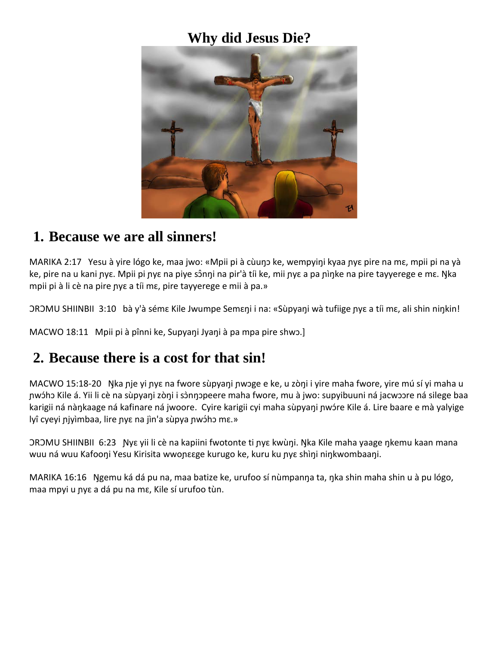### **Why did Jesus Die?**



#### **1. Because we are all sinners!**

MARIKA 2:17 Yesu à yire lógo ke, maa jwo: «Mpii pi à cùuŋɔ ke, wempyiŋi kyaa ɲyɛ pire na mɛ, mpii pi na yà ke, pire na u kani nyε. Mpii pi nyε na piye sônni na pir'à tíi ke, mii nyε a pa nìnke na pire tayyerege e mε. Nka mpii pi à li cè na pire ɲyɛ a tíi mɛ, pire tayyerege e mii à pa.»

ƆRƆMU SHIINBII 3:10 bà y'à sémɛ Kile Jwumpe Semɛŋi i na: «Sùpyaŋi wà tufiige ɲyɛ a tíi mɛ, ali shin niŋkin!

MACWO 18:11 Mpii pi à pînni ke, Supyaŋi Jyaŋi à pa mpa pire shwɔ.]

#### **2. Because there is a cost for that sin!**

MACWO 15:18-20 Ŋka ɲje yi ɲyɛ na fwore sùpyaŋi ɲwɔge e ke, u zòŋi i yire maha fwore, yire mú sí yi maha u pwɔ́hɔ Kile á. Yii li cè na sùpyani zòni i sɔ̀nŋɔpeere maha fwore, mu à jwo: supyibuuni na jacwɔɔre na silege baa karigii ná nàŋkaage ná kafinare ná jwoore. Cyire karigii cyi maha sùpyaŋi ɲwɔ́re Kile á. Lire baare e mà yalyige lyî cyeyi njyìmbaa, lire nye na jìn'a sùpya nwɔ́hɔ mɛ.»

ƆRƆMU SHIINBII 6:23 Ɲyɛ yii li cè na kapiini fwotonte ti ɲyɛ kwùŋi. Ŋka Kile maha yaage ŋkemu kaan mana wuu ná wuu Kafooŋi Yesu Kirisita wwonɛɛge kurugo ke, kuru ku nyɛ shìŋi niŋkwombaaŋi.

MARIKA 16:16 Ŋgemu ká dá pu na, maa batize ke, urufoo sí nùmpanŋa ta, ŋka shin maha shin u à pu lógo, maa mpyi u ɲyɛ a dá pu na mɛ, Kile sí urufoo tùn.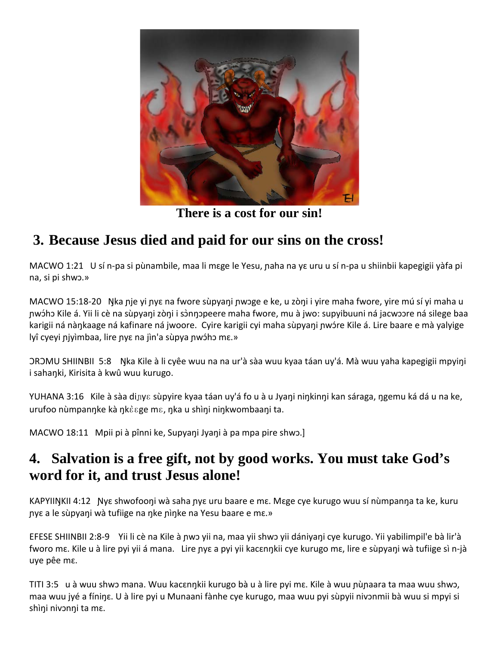

**There is a cost for our sin!**

## **3. Because Jesus died and paid for our sins on the cross!**

MACWO 1:21 U sí n-pa si pùnambile, maa li mɛge le Yesu, naha na yɛ uru u sí n-pa u shiinbii kapegigii yàfa pi na, si pi shwɔ.»

MACWO 15:18-20 Ŋka ɲje yi ɲyɛ na fwore sùpyaŋi ɲwɔge e ke, u zòŋi i yire maha fwore, yire mú sí yi maha u pwɔ́hɔ Kile á. Yii li cè na sùpyaŋi zòŋi i sɔ̀nŋɔpeere maha fwore, mu à jwo: supyibuuni na jacwɔɔre na silege baa karigii ná nàŋkaage ná kafinare ná jwoore. Cyire karigii cyi maha sùpyaŋi ɲwɔ́re Kile á. Lire baare e mà yalyige lyî cyeyi niyìmbaa, lire nye na jìn'a sùpya nwɔ́hɔ mɛ.»

ƆRƆMU SHIINBII 5:8 Ŋka Kile à li cyêe wuu na na ur'à sàa wuu kyaa táan uy'á. Mà wuu yaha kapegigii mpyiŋi i sahaŋki, Kirisita à kwû wuu kurugo.

YUHANA 3:16 Kile à sàa diɲyɛ sùpyire kyaa táan uy'á fo u à u Jyaŋi niŋkinŋi kan sáraga, ŋgemu ká dá u na ke, urufoo nùmpanŋke kà ŋkɛ̀ɛge mɛ, ŋka u shìŋi niŋkwombaaŋi ta.

MACWO 18:11 Mpii pi à pînni ke, Supyaŋi Jyaŋi à pa mpa pire shwɔ.]

### **4. Salvation is a free gift, not by good works. You must take God's word for it, and trust Jesus alone!**

KAPYIIŊKII 4:12 Ɲyɛ shwofooŋi wà saha ɲyɛ uru baare e mɛ. Mɛge cye kurugo wuu sí nùmpanŋa ta ke, kuru ɲyɛ a le sùpyaŋi wà tufiige na ŋke ɲìŋke na Yesu baare e mɛ.»

EFESE SHIINBII 2:8-9 Yii li cè na Kile à ɲwɔ yii na, maa yii shwɔ yii dániyaŋi cye kurugo. Yii yabilimpil'e bà lir'à fworo mɛ. Kile u à lire pyi yii á mana. Lire ɲyɛ a pyi yii kacɛnŋkii cye kurugo mɛ, lire e sùpyaŋi wà tufiige sì n-jà uye pêe mɛ.

TITI 3:5 u à wuu shwɔ mana. Wuu kacɛnŋkii kurugo bà u à lire pyi mɛ. Kile à wuu ɲùɲaara ta maa wuu shwɔ, maa wuu jyé a fíniŋɛ. U à lire pyi u Munaani fànhe cye kurugo, maa wuu pyi sùpyii nivɔnmii bà wuu si mpyi si shìŋi nivɔnŋi ta mɛ.